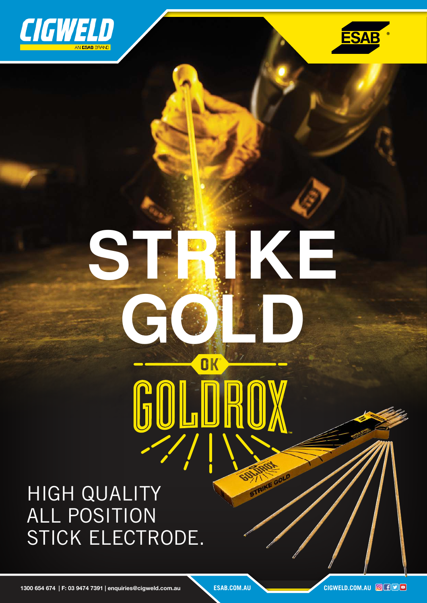



# **STRIKE GOLD** OK COLI

HIGH QUALITY ALL POSITION STICK ELECTRODE.

1300 654 674 | F: 03 9474 7391 | enquiries@cigweld.com.au **ESAB.COM.AU CIGWELD.COM.AU** 

STAIRE GOLD